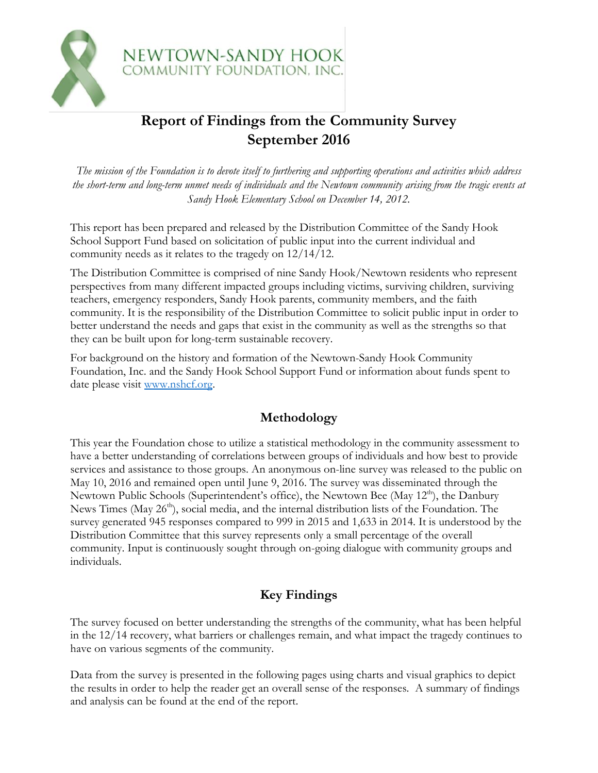

# **Report of Findings from the Community Survey September 2016**

*The mission of the Foundation is to devote itself to furthering and supporting operations and activities which address the short-term and long-term unmet needs of individuals and the Newtown community arising from the tragic events at Sandy Hook Elementary School on December 14, 2012.*

This report has been prepared and released by the Distribution Committee of the Sandy Hook School Support Fund based on solicitation of public input into the current individual and community needs as it relates to the tragedy on 12/14/12.

The Distribution Committee is comprised of nine Sandy Hook/Newtown residents who represent perspectives from many different impacted groups including victims, surviving children, surviving teachers, emergency responders, Sandy Hook parents, community members, and the faith community. It is the responsibility of the Distribution Committee to solicit public input in order to better understand the needs and gaps that exist in the community as well as the strengths so that they can be built upon for long-term sustainable recovery.

For background on the history and formation of the Newtown-Sandy Hook Community Foundation, Inc. and the Sandy Hook School Support Fund or information about funds spent to date please visit [www.nshcf.org.](http://www.nshcf.org/)

# **Methodology**

This year the Foundation chose to utilize a statistical methodology in the community assessment to have a better understanding of correlations between groups of individuals and how best to provide services and assistance to those groups. An anonymous on-line survey was released to the public on May 10, 2016 and remained open until June 9, 2016. The survey was disseminated through the Newtown Public Schools (Superintendent's office), the Newtown Bee (May  $12^{th}$ ), the Danbury News Times (May  $26<sup>th</sup>$ ), social media, and the internal distribution lists of the Foundation. The survey generated 945 responses compared to 999 in 2015 and 1,633 in 2014. It is understood by the Distribution Committee that this survey represents only a small percentage of the overall community. Input is continuously sought through on-going dialogue with community groups and individuals.

# **Key Findings**

The survey focused on better understanding the strengths of the community, what has been helpful in the 12/14 recovery, what barriers or challenges remain, and what impact the tragedy continues to have on various segments of the community.

Data from the survey is presented in the following pages using charts and visual graphics to depict the results in order to help the reader get an overall sense of the responses. A summary of findings and analysis can be found at the end of the report.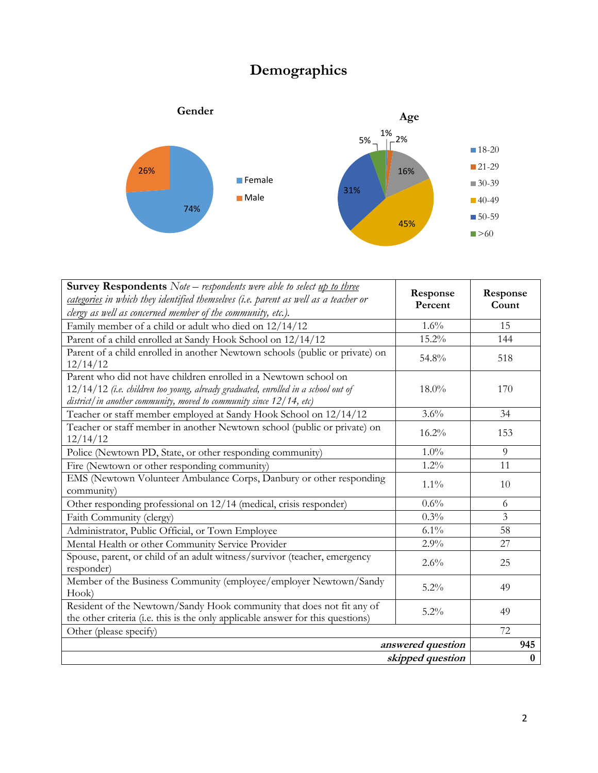# **Demographics**



| <b>Survey Respondents</b> Note – respondents were able to select up to three<br>categories in which they identified themselves (i.e. parent as well as a teacher or<br>clergy as well as concerned member of the community, etc.). | Response<br>Percent | Response<br>Count |
|------------------------------------------------------------------------------------------------------------------------------------------------------------------------------------------------------------------------------------|---------------------|-------------------|
| Family member of a child or adult who died on 12/14/12                                                                                                                                                                             | 1.6%                | 15                |
| Parent of a child enrolled at Sandy Hook School on 12/14/12                                                                                                                                                                        | 15.2%               | 144               |
| Parent of a child enrolled in another Newtown schools (public or private) on<br>12/14/12                                                                                                                                           | 54.8%               | 518               |
| Parent who did not have children enrolled in a Newtown school on<br>12/14/12 (i.e. children too young, already graduated, enrolled in a school out of<br>district/in another community, moved to community since 12/14, etc)       | $18.0\%$            | 170               |
| Teacher or staff member employed at Sandy Hook School on 12/14/12                                                                                                                                                                  | 3.6%                | 34                |
| Teacher or staff member in another Newtown school (public or private) on<br>12/14/12                                                                                                                                               | 16.2%               | 153               |
| Police (Newtown PD, State, or other responding community)                                                                                                                                                                          | $1.0\%$             | 9                 |
| Fire (Newtown or other responding community)                                                                                                                                                                                       | $1.2\%$             | 11                |
| EMS (Newtown Volunteer Ambulance Corps, Danbury or other responding<br>community)                                                                                                                                                  | $1.1\%$             | 10                |
| Other responding professional on 12/14 (medical, crisis responder)                                                                                                                                                                 | 0.6%                | 6                 |
| Faith Community (clergy)                                                                                                                                                                                                           | 0.3%                | 3                 |
| Administrator, Public Official, or Town Employee                                                                                                                                                                                   | $6.1\%$             | 58                |
| Mental Health or other Community Service Provider                                                                                                                                                                                  | 2.9%                | 27                |
| Spouse, parent, or child of an adult witness/survivor (teacher, emergency<br>responder)                                                                                                                                            | 2.6%                | 25                |
| Member of the Business Community (employee/employer Newtown/Sandy<br>Hook)                                                                                                                                                         | 5.2%                | 49                |
| Resident of the Newtown/Sandy Hook community that does not fit any of<br>the other criteria (i.e. this is the only applicable answer for this questions)                                                                           | 5.2%                | 49                |
| Other (please specify)                                                                                                                                                                                                             |                     | 72                |
| answered question                                                                                                                                                                                                                  |                     | 945               |
| skipped question                                                                                                                                                                                                                   |                     | $\bf{0}$          |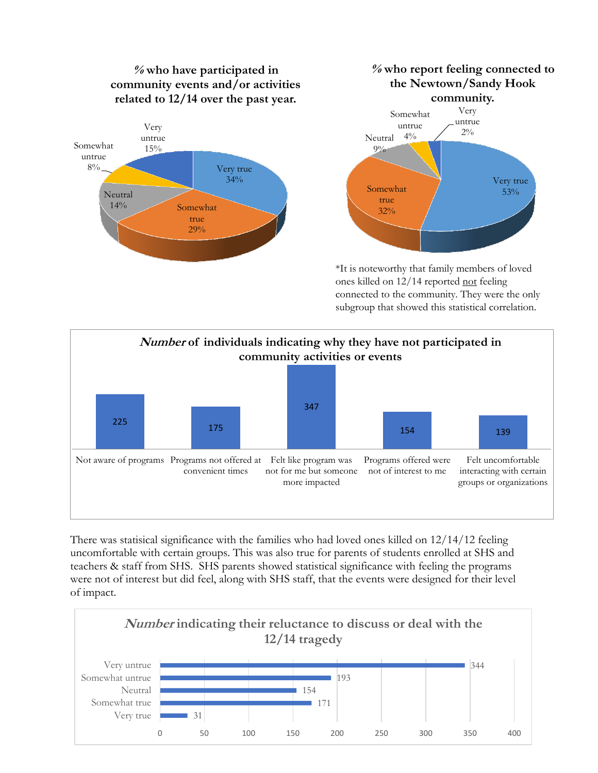

ones killed on 12/14 reported not feeling connected to the community. They were the only subgroup that showed this statistical correlation.



There was statisical significance with the families who had loved ones killed on 12/14/12 feeling uncomfortable with certain groups. This was also true for parents of students enrolled at SHS and teachers & staff from SHS. SHS parents showed statistical significance with feeling the programs were not of interest but did feel, along with SHS staff, that the events were designed for their level of impact.

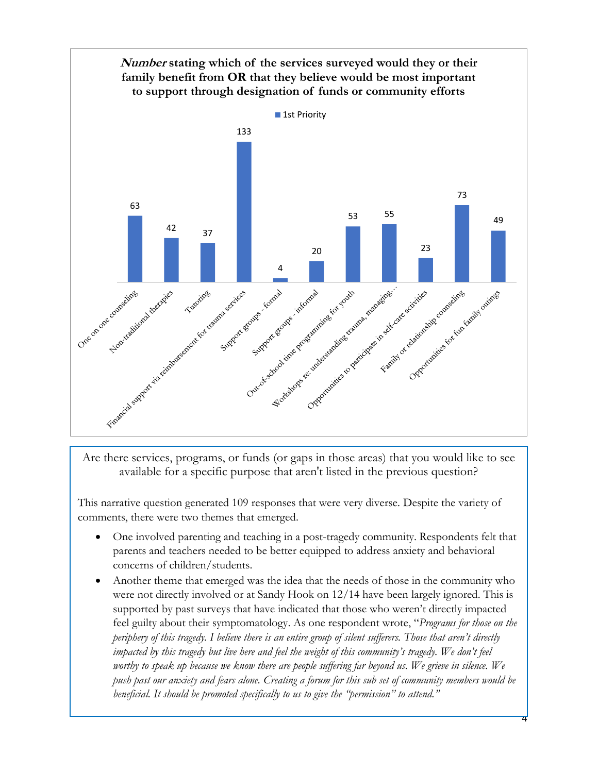

Are there services, programs, or funds (or gaps in those areas) that you would like to see available for a specific purpose that aren't listed in the previous question?

This narrative question generated 109 responses that were very diverse. Despite the variety of comments, there were two themes that emerged.

- One involved parenting and teaching in a post-tragedy community. Respondents felt that parents and teachers needed to be better equipped to address anxiety and behavioral concerns of children/students.
- Another theme that emerged was the idea that the needs of those in the community who were not directly involved or at Sandy Hook on 12/14 have been largely ignored. This is supported by past surveys that have indicated that those who weren't directly impacted feel guilty about their symptomatology. As one respondent wrote, "*Programs for those on the periphery of this tragedy. I believe there is an entire group of silent sufferers. Those that aren't directly impacted by this tragedy but live here and feel the weight of this community's tragedy. We don't feel worthy to speak up because we know there are people suffering far beyond us. We grieve in silence. We push past our anxiety and fears alone. Creating a forum for this sub set of community members would be beneficial. It should be promoted specifically to us to give the "permission" to attend."*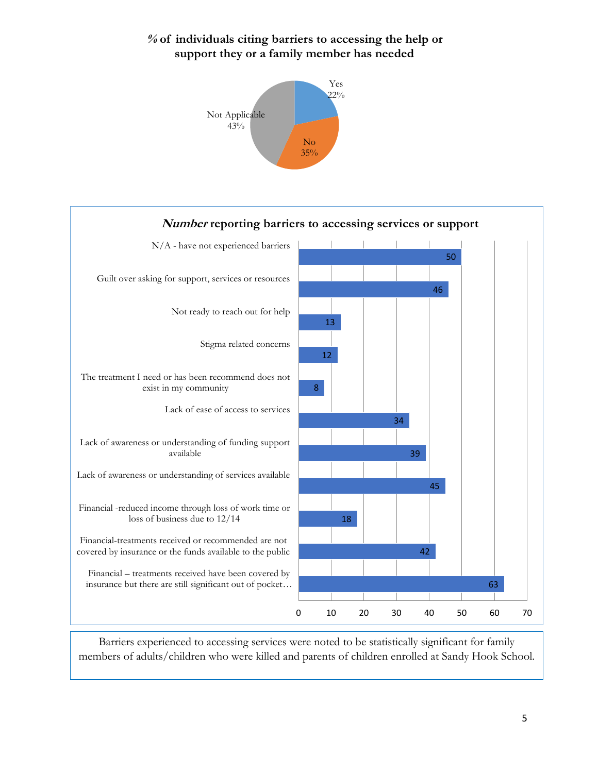### **% of individuals citing barriers to accessing the help or support they or a family member has needed**





Barriers experienced to accessing services were noted to be statistically significant for family members of adults/children who were killed and parents of children enrolled at Sandy Hook School.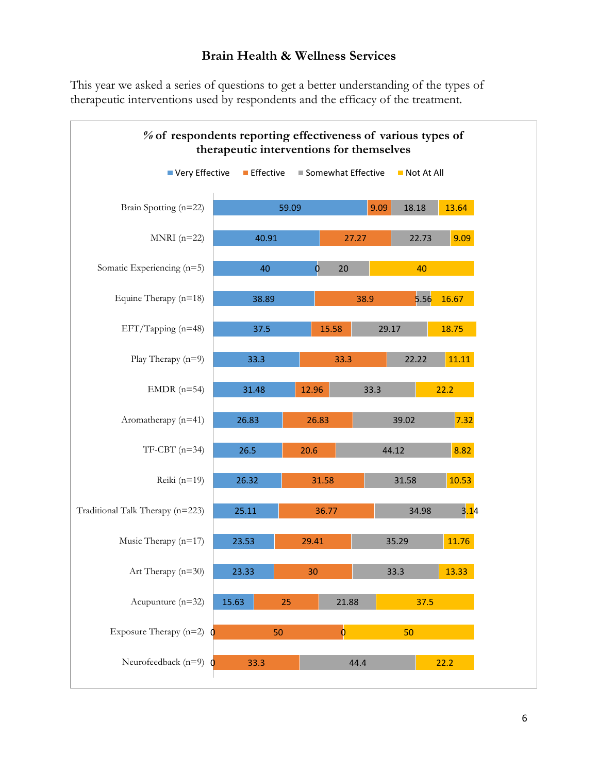### **Brain Health & Wellness Services**

This year we asked a series of questions to get a better understanding of the types of therapeutic interventions used by respondents and the efficacy of the treatment.

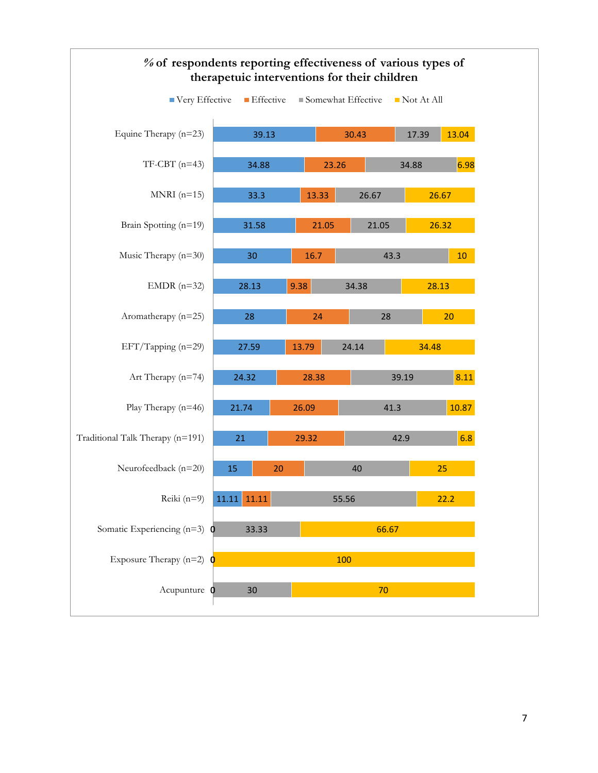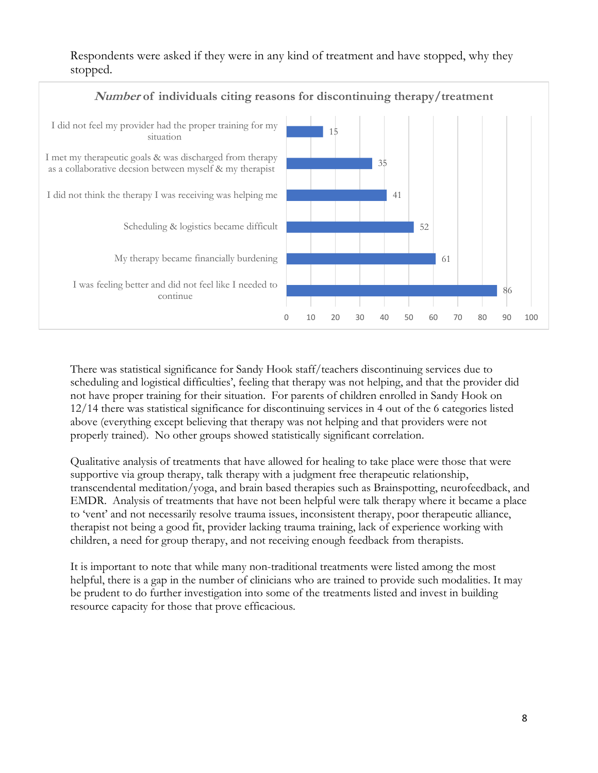Respondents were asked if they were in any kind of treatment and have stopped, why they stopped.



#### **Number of individuals citing reasons for discontinuing therapy/treatment**

There was statistical significance for Sandy Hook staff/teachers discontinuing services due to scheduling and logistical difficulties', feeling that therapy was not helping, and that the provider did not have proper training for their situation. For parents of children enrolled in Sandy Hook on 12/14 there was statistical significance for discontinuing services in 4 out of the 6 categories listed above (everything except believing that therapy was not helping and that providers were not properly trained). No other groups showed statistically significant correlation.

Qualitative analysis of treatments that have allowed for healing to take place were those that were supportive via group therapy, talk therapy with a judgment free therapeutic relationship, transcendental meditation/yoga, and brain based therapies such as Brainspotting, neurofeedback, and EMDR. Analysis of treatments that have not been helpful were talk therapy where it became a place to 'vent' and not necessarily resolve trauma issues, inconsistent therapy, poor therapeutic alliance, therapist not being a good fit, provider lacking trauma training, lack of experience working with children, a need for group therapy, and not receiving enough feedback from therapists.

It is important to note that while many non-traditional treatments were listed among the most helpful, there is a gap in the number of clinicians who are trained to provide such modalities. It may be prudent to do further investigation into some of the treatments listed and invest in building resource capacity for those that prove efficacious.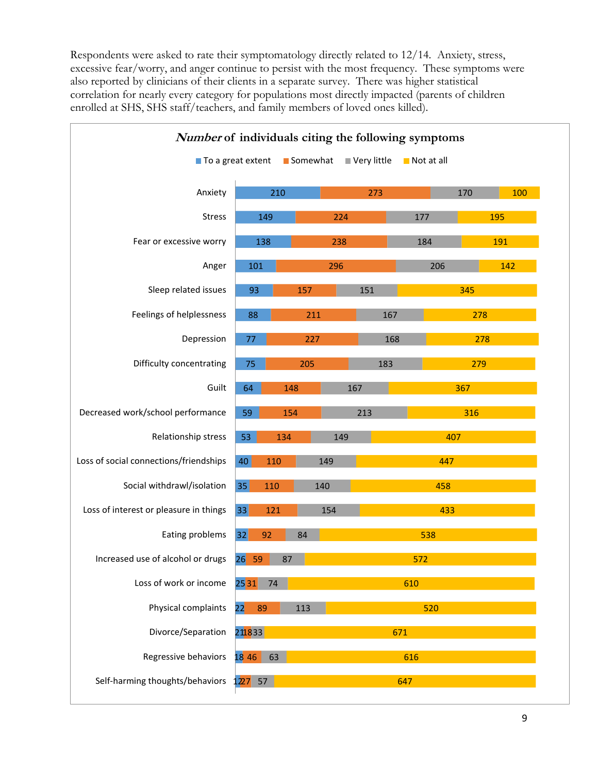Respondents were asked to rate their symptomatology directly related to 12/14. Anxiety, stress, excessive fear/worry, and anger continue to persist with the most frequency. These symptoms were also reported by clinicians of their clients in a separate survey. There was higher statistical correlation for nearly every category for populations most directly impacted (parents of children enrolled at SHS, SHS staff/teachers, and family members of loved ones killed).